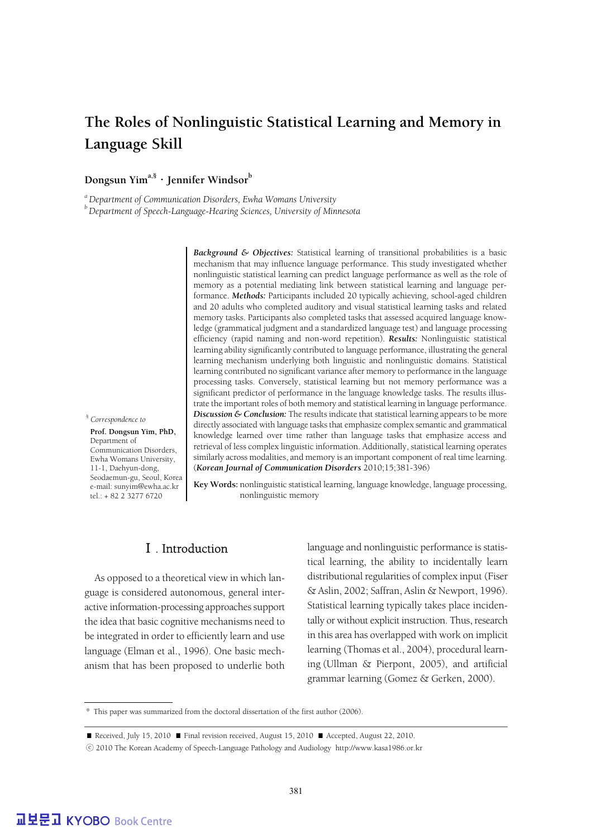## **The Roles of Nonlinguistic Statistical Learning and Memory in Language Skill**

## Dongsun Yim<sup>a,§</sup> · Jennifer Windsor<sup>b</sup>

*a Department of Communication Disorders, Ewha Womans University*

*b Department of Speech-Language-Hearing Sciences, University of Minnesota*

*Background & Objectives:* Statistical learning of transitional probabilities is a basic mechanism that may influence language performance. This study investigated whether nonlinguistic statistical learning can predict language performance as well as the role of memory as a potential mediating link between statistical learning and language performance. *Methods:* Participants included 20 typically achieving, school-aged children and 20 adults who completed auditory and visual statistical learning tasks and related memory tasks. Participants also completed tasks that assessed acquired language knowledge (grammatical judgment and a standardized language test) and language processing efficiency (rapid naming and non-word repetition). *Results:* Nonlinguistic statistical learning ability significantly contributed to language performance, illustrating the general learning mechanism underlying both linguistic and nonlinguistic domains. Statistical learning contributed no significant variance after memory to performance in the language processing tasks. Conversely, statistical learning but not memory performance was a significant predictor of performance in the language knowledge tasks. The results illustrate the important roles of both memory and statistical learning in language performance. *Discussion & Conclusion:* The results indicate that statistical learning appears to be more directly associated with language tasks that emphasize complex semantic and grammatical knowledge learned over time rather than language tasks that emphasize access and retrieval of less complex linguistic information. Additionally, statistical learning operates similarly across modalities, and memory is an important component of real time learning. (*Korean Journal of Communication Disorders* 2010;15;381-396)

§ *Correspondence to* 

 **Prof. Dongsun Yim, PhD,** Department of Communication Disorders, Ewha Womans University, 11-1, Daehyun-dong, Seodaemun-gu, Seoul, Korea e-mail: sunyim@ewha.ac.kr tel.: + 82 2 3277 6720

**Key Words:** nonlinguistic statistical learning, language knowledge, language processing, nonlinguistic memory

## Ⅰ. Introduction

As opposed to a theoretical view in which language is considered autonomous, general interactive information-processing approaches support the idea that basic cognitive mechanisms need to be integrated in order to efficiently learn and use language (Elman et al., 1996). One basic mechanism that has been proposed to underlie both language and nonlinguistic performance is statistical learning, the ability to incidentally learn distributional regularities of complex input (Fiser & Aslin, 2002; Saffran, Aslin & Newport, 1996). Statistical learning typically takes place incidentally or without explicit instruction. Thus, research in this area has overlapped with work on implicit learning (Thomas et al., 2004), procedural learning (Ullman & Pierpont, 2005), and artificial grammar learning (Gomez & Gerken, 2000).

<sup>\*</sup> This paper was summarized from the doctoral dissertation of the first author (2006).

<sup>■</sup> Received, July 15, 2010 ■ Final revision received, August 15, 2010 ■ Accepted, August 22, 2010.

<sup>ⓒ</sup> 2010 The Korean Academy of Speech-Language Pathology and Audiology http://www.kasa1986.or.kr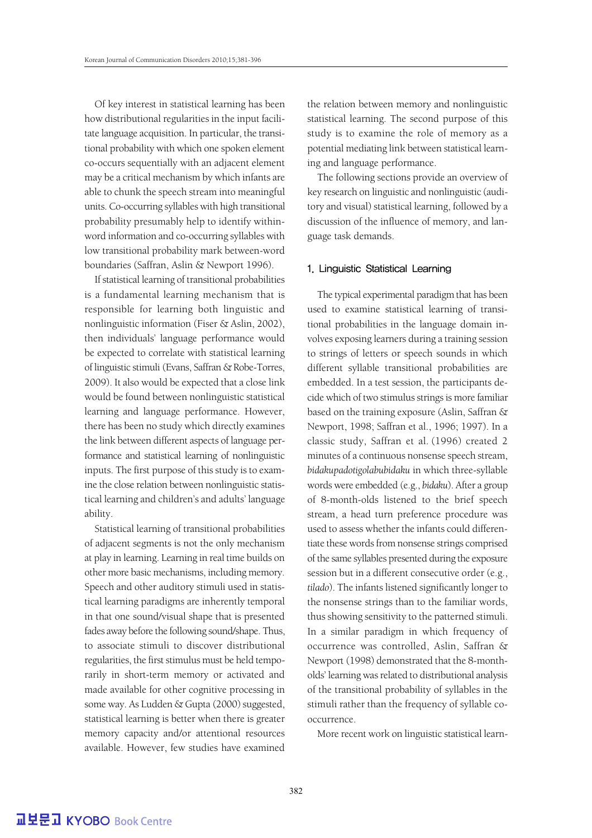Of key interest in statistical learning has been how distributional regularities in the input facilitate language acquisition. In particular, the transitional probability with which one spoken element co-occurs sequentially with an adjacent element may be a critical mechanism by which infants are able to chunk the speech stream into meaningful units. Co-occurring syllables with high transitional probability presumably help to identify withinword information and co-occurring syllables with low transitional probability mark between-word boundaries (Saffran, Aslin & Newport 1996).

If statistical learning of transitional probabilities is a fundamental learning mechanism that is responsible for learning both linguistic and nonlinguistic information (Fiser & Aslin, 2002), then individuals' language performance would be expected to correlate with statistical learning of linguistic stimuli (Evans, Saffran & Robe-Torres, 2009). It also would be expected that a close link would be found between nonlinguistic statistical learning and language performance. However, there has been no study which directly examines the link between different aspects of language performance and statistical learning of nonlinguistic inputs. The first purpose of this study is to examine the close relation between nonlinguistic statistical learning and children's and adults' language ability.

Statistical learning of transitional probabilities of adjacent segments is not the only mechanism at play in learning. Learning in real time builds on other more basic mechanisms, including memory. Speech and other auditory stimuli used in statistical learning paradigms are inherently temporal in that one sound/visual shape that is presented fades away before the following sound/shape. Thus, to associate stimuli to discover distributional regularities, the first stimulus must be held temporarily in short-term memory or activated and made available for other cognitive processing in some way. As Ludden & Gupta (2000) suggested, statistical learning is better when there is greater memory capacity and/or attentional resources available. However, few studies have examined the relation between memory and nonlinguistic statistical learning. The second purpose of this study is to examine the role of memory as a potential mediating link between statistical learning and language performance.

The following sections provide an overview of key research on linguistic and nonlinguistic (auditory and visual) statistical learning, followed by a discussion of the influence of memory, and language task demands.

#### 1. Linguistic Statistical Learning

The typical experimental paradigm that has been used to examine statistical learning of transitional probabilities in the language domain involves exposing learners during a training session to strings of letters or speech sounds in which different syllable transitional probabilities are embedded. In a test session, the participants decide which of two stimulus strings is more familiar based on the training exposure (Aslin, Saffran & Newport, 1998; Saffran et al., 1996; 1997). In a classic study, Saffran et al. (1996) created 2 minutes of a continuous nonsense speech stream, *bidakupadotigolabubidaku* in which three-syllable words were embedded (e.g., *bidaku*). After a group of 8-month-olds listened to the brief speech stream, a head turn preference procedure was used to assess whether the infants could differentiate these words from nonsense strings comprised of the same syllables presented during the exposure session but in a different consecutive order (e.g., *tilado*). The infants listened significantly longer to the nonsense strings than to the familiar words, thus showing sensitivity to the patterned stimuli. In a similar paradigm in which frequency of occurrence was controlled, Aslin, Saffran & Newport (1998) demonstrated that the 8-montholds' learning was related to distributional analysis of the transitional probability of syllables in the stimuli rather than the frequency of syllable cooccurrence.

More recent work on linguistic statistical learn-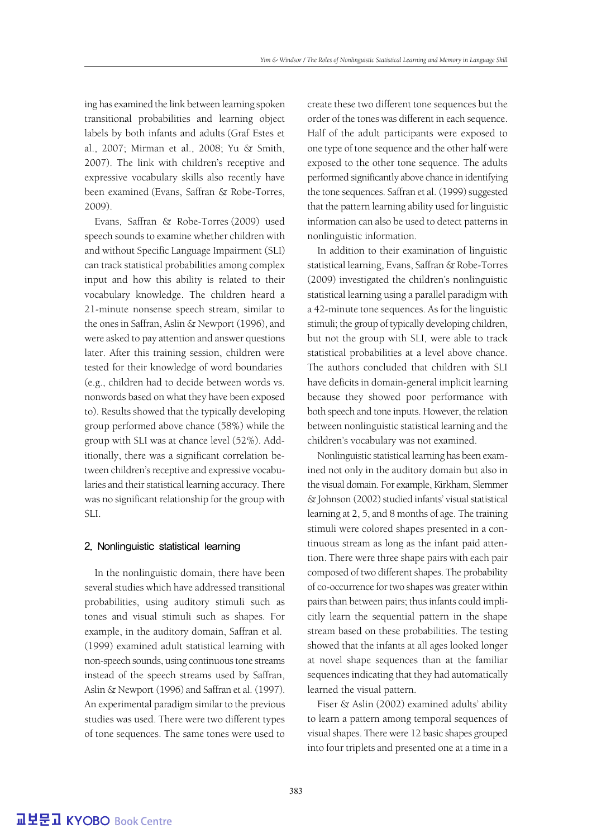ing has examined the link between learning spoken transitional probabilities and learning object labels by both infants and adults (Graf Estes et al., 2007; Mirman et al., 2008; Yu & Smith, 2007). The link with children's receptive and expressive vocabulary skills also recently have been examined (Evans, Saffran & Robe-Torres, 2009).

Evans, Saffran & Robe-Torres (2009) used speech sounds to examine whether children with and without Specific Language Impairment (SLI) can track statistical probabilities among complex input and how this ability is related to their vocabulary knowledge. The children heard a 21-minute nonsense speech stream, similar to the ones in Saffran, Aslin & Newport (1996), and were asked to pay attention and answer questions later. After this training session, children were tested for their knowledge of word boundaries (e.g., children had to decide between words vs. nonwords based on what they have been exposed to). Results showed that the typically developing group performed above chance (58%) while the group with SLI was at chance level (52%). Additionally, there was a significant correlation between children's receptive and expressive vocabularies and their statistical learning accuracy. There was no significant relationship for the group with SLI.

#### 2. Nonlinguistic statistical learning

In the nonlinguistic domain, there have been several studies which have addressed transitional probabilities, using auditory stimuli such as tones and visual stimuli such as shapes. For example, in the auditory domain, Saffran et al. (1999) examined adult statistical learning with non-speech sounds, using continuous tone streams instead of the speech streams used by Saffran, Aslin & Newport (1996) and Saffran et al. (1997). An experimental paradigm similar to the previous studies was used. There were two different types of tone sequences. The same tones were used to create these two different tone sequences but the order of the tones was different in each sequence. Half of the adult participants were exposed to one type of tone sequence and the other half were exposed to the other tone sequence. The adults performed significantly above chance in identifying the tone sequences. Saffran et al. (1999) suggested that the pattern learning ability used for linguistic information can also be used to detect patterns in nonlinguistic information.

In addition to their examination of linguistic statistical learning, Evans, Saffran & Robe-Torres (2009) investigated the children's nonlinguistic statistical learning using a parallel paradigm with a 42-minute tone sequences. As for the linguistic stimuli; the group of typically developing children, but not the group with SLI, were able to track statistical probabilities at a level above chance. The authors concluded that children with SLI have deficits in domain-general implicit learning because they showed poor performance with both speech and tone inputs. However, the relation between nonlinguistic statistical learning and the children's vocabulary was not examined.

Nonlinguistic statistical learning has been examined not only in the auditory domain but also in the visual domain. For example, Kirkham, Slemmer & Johnson (2002) studied infants' visual statistical learning at 2, 5, and 8 months of age. The training stimuli were colored shapes presented in a continuous stream as long as the infant paid attention. There were three shape pairs with each pair composed of two different shapes. The probability of co-occurrence for two shapes was greater within pairs than between pairs; thus infants could implicitly learn the sequential pattern in the shape stream based on these probabilities. The testing showed that the infants at all ages looked longer at novel shape sequences than at the familiar sequences indicating that they had automatically learned the visual pattern.

Fiser & Aslin (2002) examined adults' ability to learn a pattern among temporal sequences of visual shapes. There were 12 basic shapes grouped into four triplets and presented one at a time in a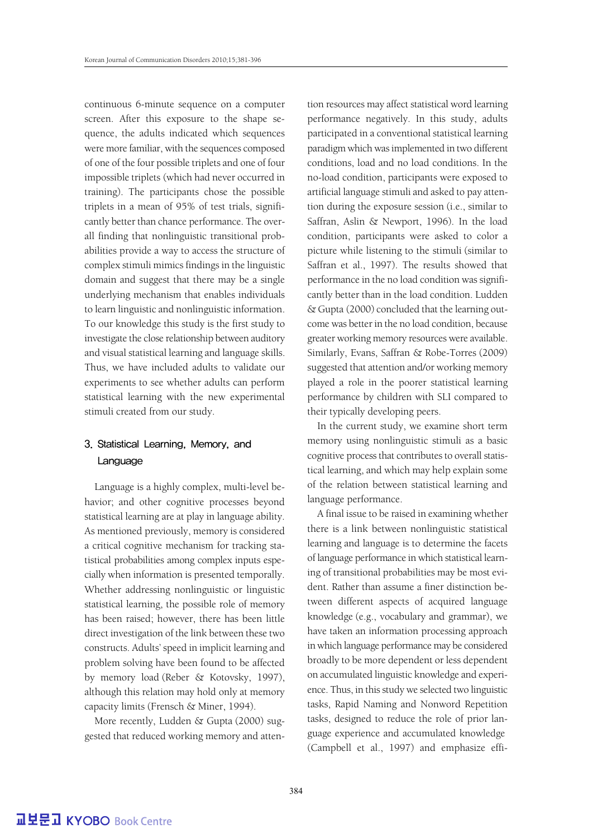continuous 6-minute sequence on a computer screen. After this exposure to the shape sequence, the adults indicated which sequences were more familiar, with the sequences composed of one of the four possible triplets and one of four impossible triplets (which had never occurred in training). The participants chose the possible triplets in a mean of 95% of test trials, significantly better than chance performance. The overall finding that nonlinguistic transitional probabilities provide a way to access the structure of complex stimuli mimics findings in the linguistic domain and suggest that there may be a single underlying mechanism that enables individuals to learn linguistic and nonlinguistic information. To our knowledge this study is the first study to investigate the close relationship between auditory and visual statistical learning and language skills. Thus, we have included adults to validate our experiments to see whether adults can perform statistical learning with the new experimental stimuli created from our study.

## 3. Statistical Learning, Memory, and Language

Language is a highly complex, multi-level behavior; and other cognitive processes beyond statistical learning are at play in language ability. As mentioned previously, memory is considered a critical cognitive mechanism for tracking statistical probabilities among complex inputs especially when information is presented temporally. Whether addressing nonlinguistic or linguistic statistical learning, the possible role of memory has been raised; however, there has been little direct investigation of the link between these two constructs. Adults' speed in implicit learning and problem solving have been found to be affected by memory load (Reber & Kotovsky, 1997), although this relation may hold only at memory capacity limits (Frensch & Miner, 1994).

More recently, Ludden & Gupta (2000) suggested that reduced working memory and attention resources may affect statistical word learning performance negatively. In this study, adults participated in a conventional statistical learning paradigm which was implemented in two different conditions, load and no load conditions. In the no-load condition, participants were exposed to artificial language stimuli and asked to pay attention during the exposure session (i.e., similar to Saffran, Aslin & Newport, 1996). In the load condition, participants were asked to color a picture while listening to the stimuli (similar to Saffran et al., 1997). The results showed that performance in the no load condition was significantly better than in the load condition. Ludden & Gupta (2000) concluded that the learning outcome was better in the no load condition, because greater working memory resources were available. Similarly, Evans, Saffran & Robe-Torres (2009) suggested that attention and/or working memory played a role in the poorer statistical learning performance by children with SLI compared to their typically developing peers.

In the current study, we examine short term memory using nonlinguistic stimuli as a basic cognitive process that contributes to overall statistical learning, and which may help explain some of the relation between statistical learning and language performance.

A final issue to be raised in examining whether there is a link between nonlinguistic statistical learning and language is to determine the facets of language performance in which statistical learning of transitional probabilities may be most evident. Rather than assume a finer distinction between different aspects of acquired language knowledge (e.g., vocabulary and grammar), we have taken an information processing approach in which language performance may be considered broadly to be more dependent or less dependent on accumulated linguistic knowledge and experience. Thus, in this study we selected two linguistic tasks, Rapid Naming and Nonword Repetition tasks, designed to reduce the role of prior language experience and accumulated knowledge (Campbell et al., 1997) and emphasize effi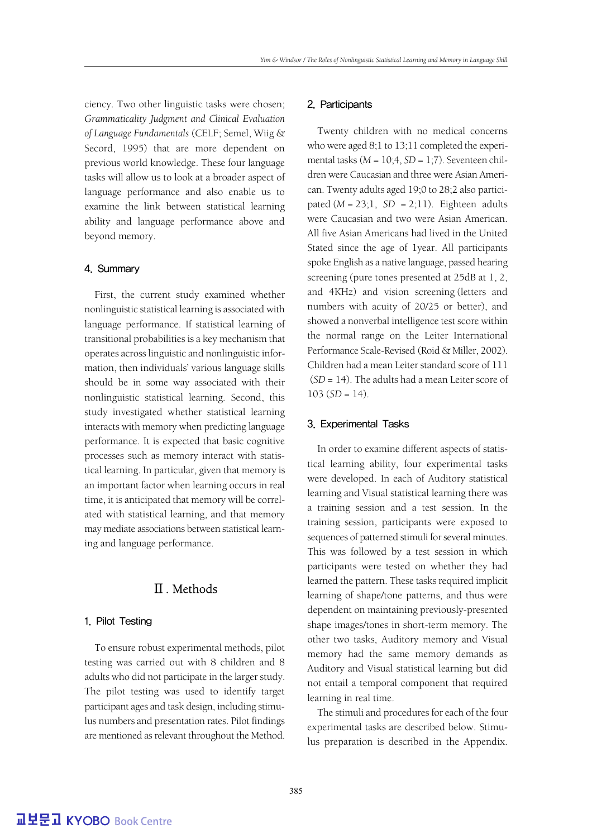ciency. Two other linguistic tasks were chosen; *Grammaticality Judgment and Clinical Evaluation of Language Fundamentals* (CELF; Semel, Wiig & Secord, 1995) that are more dependent on previous world knowledge. These four language tasks will allow us to look at a broader aspect of language performance and also enable us to examine the link between statistical learning ability and language performance above and beyond memory.

#### 4. Summary

First, the current study examined whether nonlinguistic statistical learning is associated with language performance. If statistical learning of transitional probabilities is a key mechanism that operates across linguistic and nonlinguistic information, then individuals' various language skills should be in some way associated with their nonlinguistic statistical learning. Second, this study investigated whether statistical learning interacts with memory when predicting language performance. It is expected that basic cognitive processes such as memory interact with statistical learning. In particular, given that memory is an important factor when learning occurs in real time, it is anticipated that memory will be correlated with statistical learning, and that memory may mediate associations between statistical learning and language performance.

## Ⅱ. Methods

#### 1. Pilot Testing

To ensure robust experimental methods, pilot testing was carried out with 8 children and 8 adults who did not participate in the larger study. The pilot testing was used to identify target participant ages and task design, including stimulus numbers and presentation rates. Pilot findings are mentioned as relevant throughout the Method.

#### 2. Participants

Twenty children with no medical concerns who were aged 8;1 to 13;11 completed the experimental tasks (*M* = 10;4, *SD* = 1;7). Seventeen children were Caucasian and three were Asian American. Twenty adults aged 19;0 to 28;2 also participated  $(M = 23; 1, SD = 2; 11)$ . Eighteen adults were Caucasian and two were Asian American. All five Asian Americans had lived in the United Stated since the age of 1year. All participants spoke English as a native language, passed hearing screening (pure tones presented at 25dB at 1, 2, and 4KHz) and vision screening (letters and numbers with acuity of 20/25 or better), and showed a nonverbal intelligence test score within the normal range on the Leiter International Performance Scale-Revised (Roid & Miller, 2002). Children had a mean Leiter standard score of 111 (*SD* = 14). The adults had a mean Leiter score of  $103 (SD = 14)$ .

#### 3. Experimental Tasks

In order to examine different aspects of statistical learning ability, four experimental tasks were developed. In each of Auditory statistical learning and Visual statistical learning there was a training session and a test session. In the training session, participants were exposed to sequences of patterned stimuli for several minutes. This was followed by a test session in which participants were tested on whether they had learned the pattern. These tasks required implicit learning of shape/tone patterns, and thus were dependent on maintaining previously-presented shape images/tones in short-term memory. The other two tasks, Auditory memory and Visual memory had the same memory demands as Auditory and Visual statistical learning but did not entail a temporal component that required learning in real time.

The stimuli and procedures for each of the four experimental tasks are described below. Stimulus preparation is described in the Appendix.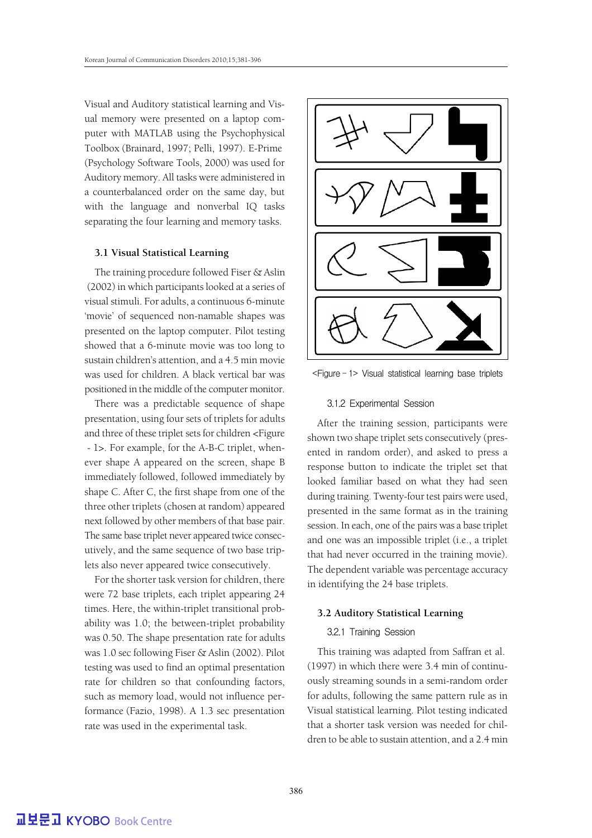Visual and Auditory statistical learning and Visual memory were presented on a laptop computer with MATLAB using the Psychophysical Toolbox (Brainard, 1997; Pelli, 1997). E-Prime (Psychology Software Tools, 2000) was used for Auditory memory. All tasks were administered in a counterbalanced order on the same day, but with the language and nonverbal IQ tasks separating the four learning and memory tasks.

#### **3.1 Visual Statistical Learning**

The training procedure followed Fiser & Aslin (2002) in which participants looked at a series of visual stimuli. For adults, a continuous 6-minute 'movie' of sequenced non-namable shapes was presented on the laptop computer. Pilot testing showed that a 6-minute movie was too long to sustain children's attention, and a 4.5 min movie was used for children. A black vertical bar was positioned in the middle of the computer monitor.

There was a predictable sequence of shape presentation, using four sets of triplets for adults and three of these triplet sets for children <Figure - 1>. For example, for the A-B-C triplet, whenever shape A appeared on the screen, shape B immediately followed, followed immediately by shape C. After C, the first shape from one of the three other triplets (chosen at random) appeared next followed by other members of that base pair. The same base triplet never appeared twice consecutively, and the same sequence of two base triplets also never appeared twice consecutively.

For the shorter task version for children, there were 72 base triplets, each triplet appearing 24 times. Here, the within-triplet transitional probability was 1.0; the between-triplet probability was 0.50. The shape presentation rate for adults was 1.0 sec following Fiser & Aslin (2002). Pilot testing was used to find an optimal presentation rate for children so that confounding factors, such as memory load, would not influence performance (Fazio, 1998). A 1.3 sec presentation rate was used in the experimental task.



<Figure - 1> Visual statistical learning base triplets

#### 3.1.2 Experimental Session

After the training session, participants were shown two shape triplet sets consecutively (presented in random order), and asked to press a response button to indicate the triplet set that looked familiar based on what they had seen during training. Twenty-four test pairs were used, presented in the same format as in the training session. In each, one of the pairs was a base triplet and one was an impossible triplet (i.e., a triplet that had never occurred in the training movie). The dependent variable was percentage accuracy in identifying the 24 base triplets.

#### **3.2 Auditory Statistical Learning**

#### 3.2.1 Training Session

This training was adapted from Saffran et al. (1997) in which there were 3.4 min of continuously streaming sounds in a semi-random order for adults, following the same pattern rule as in Visual statistical learning. Pilot testing indicated that a shorter task version was needed for children to be able to sustain attention, and a 2.4 min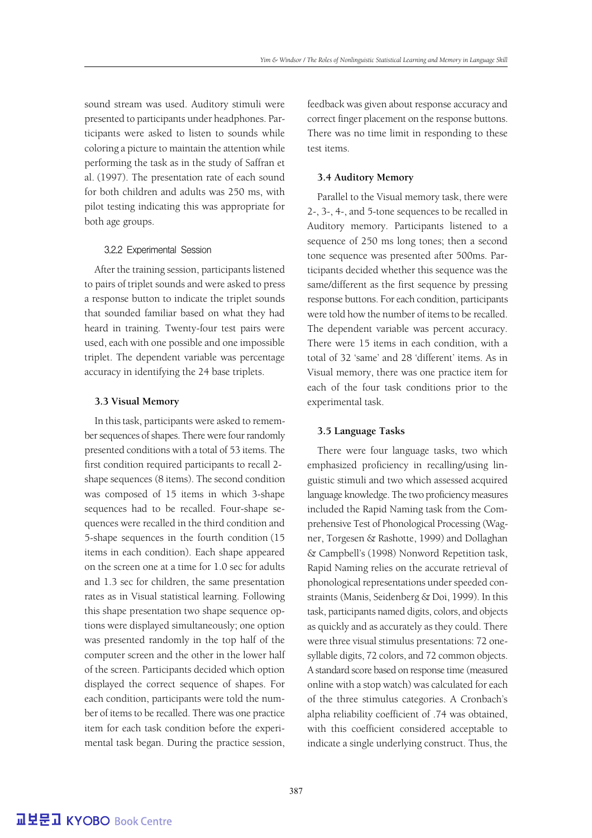sound stream was used. Auditory stimuli were presented to participants under headphones. Participants were asked to listen to sounds while coloring a picture to maintain the attention while performing the task as in the study of Saffran et al. (1997). The presentation rate of each sound for both children and adults was 250 ms, with pilot testing indicating this was appropriate for both age groups.

#### 3.2.2 Experimental Session

After the training session, participants listened to pairs of triplet sounds and were asked to press a response button to indicate the triplet sounds that sounded familiar based on what they had heard in training. Twenty-four test pairs were used, each with one possible and one impossible triplet. The dependent variable was percentage accuracy in identifying the 24 base triplets.

#### **3.3 Visual Memory**

In this task, participants were asked to remember sequences of shapes. There were four randomly presented conditions with a total of 53 items. The first condition required participants to recall 2 shape sequences (8 items). The second condition was composed of 15 items in which 3-shape sequences had to be recalled. Four-shape sequences were recalled in the third condition and 5-shape sequences in the fourth condition (15 items in each condition). Each shape appeared on the screen one at a time for 1.0 sec for adults and 1.3 sec for children, the same presentation rates as in Visual statistical learning. Following this shape presentation two shape sequence options were displayed simultaneously; one option was presented randomly in the top half of the computer screen and the other in the lower half of the screen. Participants decided which option displayed the correct sequence of shapes. For each condition, participants were told the number of items to be recalled. There was one practice item for each task condition before the experimental task began. During the practice session, feedback was given about response accuracy and correct finger placement on the response buttons. There was no time limit in responding to these test items.

#### **3.4 Auditory Memory**

Parallel to the Visual memory task, there were 2-, 3-, 4-, and 5-tone sequences to be recalled in Auditory memory. Participants listened to a sequence of 250 ms long tones; then a second tone sequence was presented after 500ms. Participants decided whether this sequence was the same/different as the first sequence by pressing response buttons. For each condition, participants were told how the number of items to be recalled. The dependent variable was percent accuracy. There were 15 items in each condition, with a total of 32 'same' and 28 'different' items. As in Visual memory, there was one practice item for each of the four task conditions prior to the experimental task.

#### **3.5 Language Tasks**

There were four language tasks, two which emphasized proficiency in recalling/using linguistic stimuli and two which assessed acquired language knowledge. The two proficiency measures included the Rapid Naming task from the Comprehensive Test of Phonological Processing (Wagner, Torgesen & Rashotte, 1999) and Dollaghan & Campbell's (1998) Nonword Repetition task, Rapid Naming relies on the accurate retrieval of phonological representations under speeded constraints (Manis, Seidenberg & Doi, 1999). In this task, participants named digits, colors, and objects as quickly and as accurately as they could. There were three visual stimulus presentations: 72 onesyllable digits, 72 colors, and 72 common objects. A standard score based on response time (measured online with a stop watch) was calculated for each of the three stimulus categories. A Cronbach's alpha reliability coefficient of .74 was obtained, with this coefficient considered acceptable to indicate a single underlying construct. Thus, the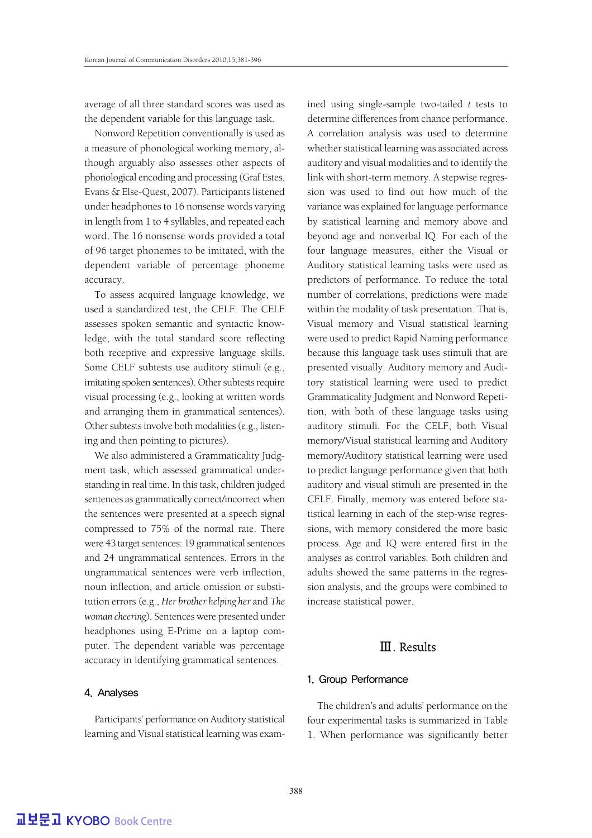average of all three standard scores was used as the dependent variable for this language task.

Nonword Repetition conventionally is used as a measure of phonological working memory, although arguably also assesses other aspects of phonological encoding and processing (Graf Estes, Evans & Else-Quest, 2007). Participants listened under headphones to 16 nonsense words varying in length from 1 to 4 syllables, and repeated each word. The 16 nonsense words provided a total of 96 target phonemes to be imitated, with the dependent variable of percentage phoneme accuracy.

To assess acquired language knowledge, we used a standardized test, the CELF. The CELF assesses spoken semantic and syntactic knowledge, with the total standard score reflecting both receptive and expressive language skills. Some CELF subtests use auditory stimuli (e.g., imitating spoken sentences). Other subtests require visual processing (e.g., looking at written words and arranging them in grammatical sentences). Other subtests involve both modalities (e.g., listening and then pointing to pictures).

We also administered a Grammaticality Judgment task, which assessed grammatical understanding in real time. In this task, children judged sentences as grammatically correct/incorrect when the sentences were presented at a speech signal compressed to 75% of the normal rate. There were 43 target sentences: 19 grammatical sentences and 24 ungrammatical sentences. Errors in the ungrammatical sentences were verb inflection, noun inflection, and article omission or substitution errors (e.g., *Her brother helping her* and *The woman cheering*). Sentences were presented under headphones using E-Prime on a laptop computer. The dependent variable was percentage accuracy in identifying grammatical sentences.

#### 4. Analyses

Participants' performance on Auditory statistical learning and Visual statistical learning was examined using single-sample two-tailed *t* tests to determine differences from chance performance. A correlation analysis was used to determine whether statistical learning was associated across auditory and visual modalities and to identify the link with short-term memory. A stepwise regression was used to find out how much of the variance was explained for language performance by statistical learning and memory above and beyond age and nonverbal IQ. For each of the four language measures, either the Visual or Auditory statistical learning tasks were used as predictors of performance. To reduce the total number of correlations, predictions were made within the modality of task presentation. That is, Visual memory and Visual statistical learning were used to predict Rapid Naming performance because this language task uses stimuli that are presented visually. Auditory memory and Auditory statistical learning were used to predict Grammaticality Judgment and Nonword Repetition, with both of these language tasks using auditory stimuli. For the CELF, both Visual memory/Visual statistical learning and Auditory memory/Auditory statistical learning were used to predict language performance given that both auditory and visual stimuli are presented in the CELF. Finally, memory was entered before statistical learning in each of the step-wise regressions, with memory considered the more basic process. Age and IQ were entered first in the analyses as control variables. Both children and adults showed the same patterns in the regression analysis, and the groups were combined to increase statistical power.

## Ⅲ. Results

#### 1. Group Performance

The children's and adults' performance on the four experimental tasks is summarized in Table 1. When performance was significantly better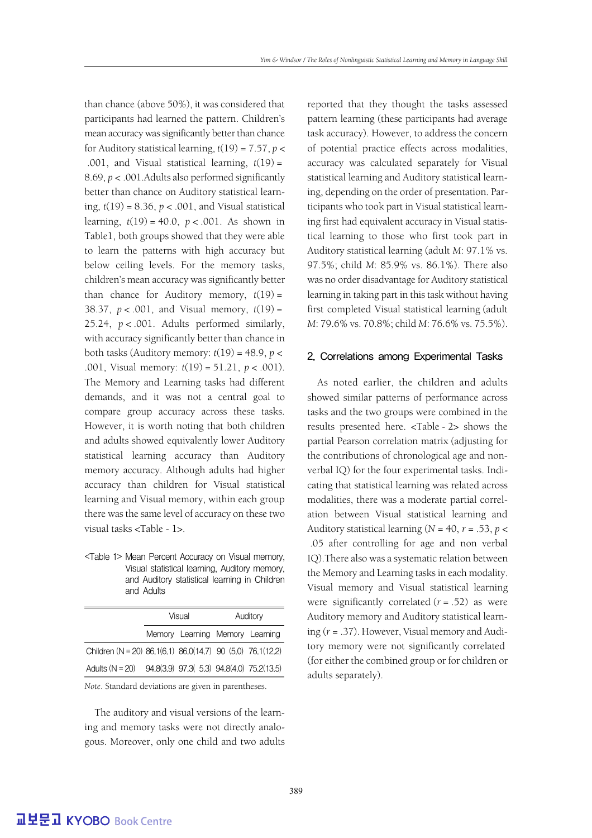than chance (above 50%), it was considered that participants had learned the pattern. Children's mean accuracy was significantly better than chance for Auditory statistical learning,  $t(19) = 7.57$ ,  $p <$ .001, and Visual statistical learning, *t*(19) = 8.69, *p* < .001.Adults also performed significantly better than chance on Auditory statistical learning, *t*(19) = 8.36, *p* < .001, and Visual statistical learning, *t*(19) = 40.0, *p* < .001. As shown in Table1, both groups showed that they were able to learn the patterns with high accuracy but below ceiling levels. For the memory tasks, children's mean accuracy was significantly better than chance for Auditory memory, *t*(19) = 38.37, *p* < .001, and Visual memory, *t*(19) = 25.24, *p* < .001. Adults performed similarly, with accuracy significantly better than chance in both tasks (Auditory memory:  $t(19) = 48.9$ ,  $p <$ .001, Visual memory: *t*(19) = 51.21, *p* < .001). The Memory and Learning tasks had different demands, and it was not a central goal to compare group accuracy across these tasks. However, it is worth noting that both children and adults showed equivalently lower Auditory statistical learning accuracy than Auditory memory accuracy. Although adults had higher accuracy than children for Visual statistical learning and Visual memory, within each group there was the same level of accuracy on these two visual tasks <Table - 1>.

<Table 1> Mean Percent Accuracy on Visual memory, Visual statistical learning, Auditory memory, and Auditory statistical learning in Children and Adults

|                                                            | Visual |                                 | Auditory |  |
|------------------------------------------------------------|--------|---------------------------------|----------|--|
|                                                            |        | Memory Learning Memory Learning |          |  |
| Children (N = 20) 86.1(6.1) 86.0(14.7) 90 (5.0) 76.1(12.2) |        |                                 |          |  |
| Adults (N = 20) 94.8(3.9) 97.3( 5.3) 94.8(4.0) 75.2(13.5)  |        |                                 |          |  |

*Note*. Standard deviations are given in parentheses.

The auditory and visual versions of the learning and memory tasks were not directly analogous. Moreover, only one child and two adults reported that they thought the tasks assessed pattern learning (these participants had average task accuracy). However, to address the concern of potential practice effects across modalities, accuracy was calculated separately for Visual statistical learning and Auditory statistical learning, depending on the order of presentation. Participants who took part in Visual statistical learning first had equivalent accuracy in Visual statistical learning to those who first took part in Auditory statistical learning (adult *M*: 97.1% vs. 97.5%; child *M*: 85.9% vs. 86.1%). There also was no order disadvantage for Auditory statistical learning in taking part in this task without having first completed Visual statistical learning (adult *M*: 79.6% vs. 70.8%; child *M*: 76.6% vs. 75.5%).

#### 2. Correlations among Experimental Tasks

As noted earlier, the children and adults showed similar patterns of performance across tasks and the two groups were combined in the results presented here. <Table - 2> shows the partial Pearson correlation matrix (adjusting for the contributions of chronological age and nonverbal IQ) for the four experimental tasks. Indicating that statistical learning was related across modalities, there was a moderate partial correlation between Visual statistical learning and Auditory statistical learning ( $N = 40$ ,  $r = .53$ ,  $p <$ .05 after controlling for age and non verbal IQ).There also was a systematic relation between the Memory and Learning tasks in each modality. Visual memory and Visual statistical learning were significantly correlated  $(r = .52)$  as were Auditory memory and Auditory statistical learning (*r* = .37). However, Visual memory and Auditory memory were not significantly correlated (for either the combined group or for children or adults separately).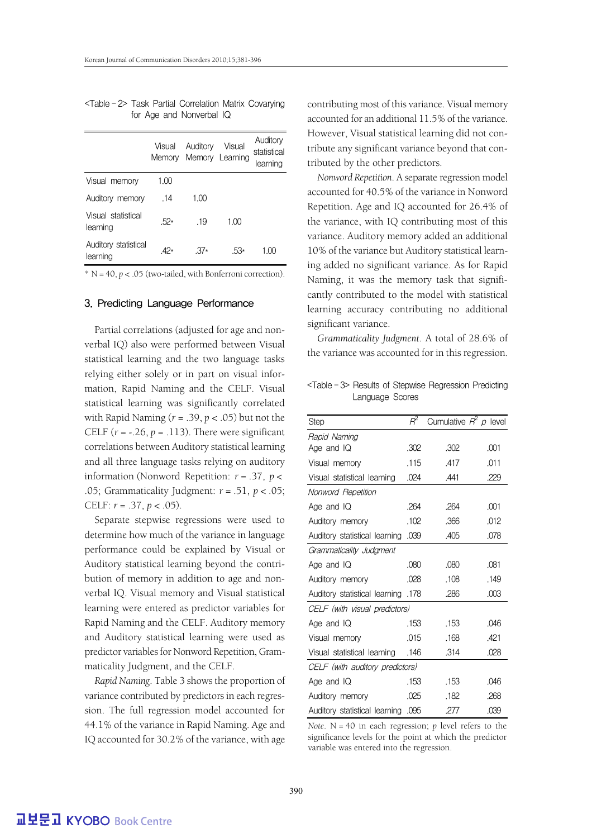|                                  | Visual<br>Memorv | Auditory | Visual<br>Memory Learning | Auditory<br>statistical<br>learning |
|----------------------------------|------------------|----------|---------------------------|-------------------------------------|
| Visual memory                    | 1.00             |          |                           |                                     |
| Auditory memory                  | .14              | 1.00     |                           |                                     |
| Visual statistical<br>learning   | $.52*$           | -19      | 1.00                      |                                     |
| Auditory statistical<br>learning | $42*$            | $.37*$   | $53*$                     | 1.00                                |

<Table - 2> Task Partial Correlation Matrix Covarying for Age and Nonverbal IQ

 $* N = 40, p < .05$  (two-tailed, with Bonferroni correction).

#### 3. Predicting Language Performance

Partial correlations (adjusted for age and nonverbal IQ) also were performed between Visual statistical learning and the two language tasks relying either solely or in part on visual information, Rapid Naming and the CELF. Visual statistical learning was significantly correlated with Rapid Naming (*r* = .39, *p* < .05) but not the CELF  $(r = -.26, p = .113)$ . There were significant correlations between Auditory statistical learning and all three language tasks relying on auditory information (Nonword Repetition: *r* = .37, *p* < .05; Grammaticality Judgment: *r* = .51, *p* < .05; CELF: *r* = .37, *p* < .05).

Separate stepwise regressions were used to determine how much of the variance in language performance could be explained by Visual or Auditory statistical learning beyond the contribution of memory in addition to age and nonverbal IQ. Visual memory and Visual statistical learning were entered as predictor variables for Rapid Naming and the CELF. Auditory memory and Auditory statistical learning were used as predictor variables for Nonword Repetition, Grammaticality Judgment, and the CELF.

*Rapid Naming*. Table 3 shows the proportion of variance contributed by predictors in each regression. The full regression model accounted for 44.1% of the variance in Rapid Naming. Age and IQ accounted for 30.2% of the variance, with age contributing most of this variance. Visual memory accounted for an additional 11.5% of the variance. However, Visual statistical learning did not contribute any significant variance beyond that contributed by the other predictors.

*Nonword Repetition*. A separate regression model accounted for 40.5% of the variance in Nonword Repetition. Age and IQ accounted for 26.4% of the variance, with IQ contributing most of this variance. Auditory memory added an additional 10% of the variance but Auditory statistical learning added no significant variance. As for Rapid Naming, it was the memory task that significantly contributed to the model with statistical learning accuracy contributing no additional significant variance.

*Grammaticality Judgment*. A total of 28.6% of the variance was accounted for in this regression.

<Table - 3> Results of Stepwise Regression Predicting Language Scores

|                                    | $R^2$ | Cumulative $R^2$ p level |      |  |  |  |
|------------------------------------|-------|--------------------------|------|--|--|--|
| Step                               |       |                          |      |  |  |  |
| Rapid Naming                       |       |                          |      |  |  |  |
| Age and IQ                         | .302  | .302                     | .001 |  |  |  |
| Visual memory                      | .115  | .417                     | .011 |  |  |  |
| Visual statistical learning        | .024  | .441                     | .229 |  |  |  |
| Nonword Repetition                 |       |                          |      |  |  |  |
| Age and $IQ$                       | .264  | .264                     | .001 |  |  |  |
| Auditory memory                    | .102  | .366                     | .012 |  |  |  |
| Auditory statistical learning .039 |       | .405                     | .078 |  |  |  |
| Grammaticality Judgment            |       |                          |      |  |  |  |
| Age and IQ                         | .080  | .080                     | .081 |  |  |  |
| Auditory memory                    | .028  | .108                     | .149 |  |  |  |
| 178. Auditory statistical learning |       | .286                     | .003 |  |  |  |
| CELF (with visual predictors)      |       |                          |      |  |  |  |
| Age and $IQ$                       | .153  | .153                     | .046 |  |  |  |
| Visual memory                      | .015  | .168                     | .421 |  |  |  |
| 146. Visual statistical learning   |       | .314                     | .028 |  |  |  |
| CELF (with auditory predictors)    |       |                          |      |  |  |  |
| Age and $IQ$                       | .153  | .153                     | .046 |  |  |  |
| Auditory memory                    | .025  | .182                     | .268 |  |  |  |
| Auditory statistical learning .095 |       | .277                     | .039 |  |  |  |

*Note*. N = 40 in each regression; *p* level refers to the significance levels for the point at which the predictor variable was entered into the regression.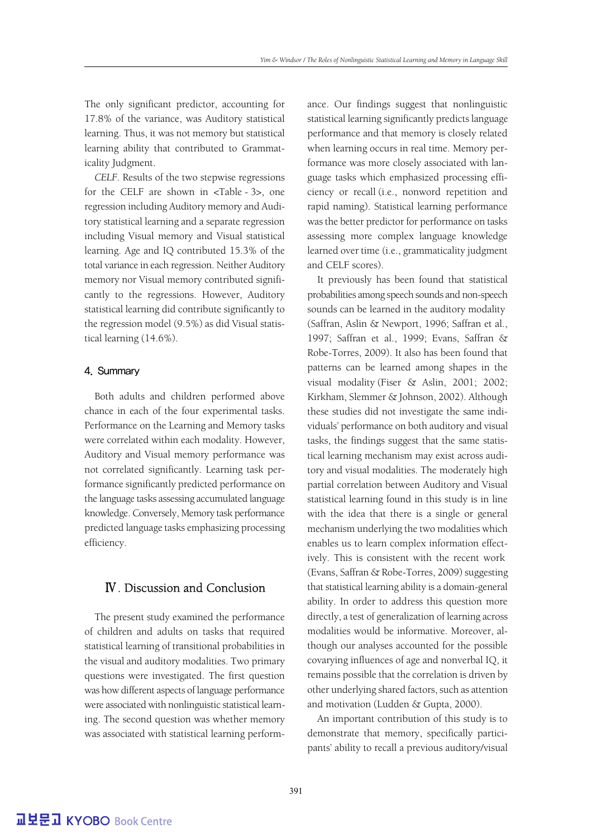The only significant predictor, accounting for 17.8% of the variance, was Auditory statistical learning. Thus, it was not memory but statistical learning ability that contributed to Grammaticality Judgment.

*CELF*. Results of the two stepwise regressions for the CELF are shown in <Table - 3>, one regression including Auditory memory and Auditory statistical learning and a separate regression including Visual memory and Visual statistical learning. Age and IQ contributed 15.3% of the total variance in each regression. Neither Auditory memory nor Visual memory contributed significantly to the regressions. However, Auditory statistical learning did contribute significantly to the regression model (9.5%) as did Visual statistical learning (14.6%).

#### 4. Summary

Both adults and children performed above chance in each of the four experimental tasks. Performance on the Learning and Memory tasks were correlated within each modality. However, Auditory and Visual memory performance was not correlated significantly. Learning task performance significantly predicted performance on the language tasks assessing accumulated language knowledge. Conversely, Memory task performance predicted language tasks emphasizing processing efficiency.

## Ⅳ. Discussion and Conclusion

The present study examined the performance of children and adults on tasks that required statistical learning of transitional probabilities in the visual and auditory modalities. Two primary questions were investigated. The first question was how different aspects of language performance were associated with nonlinguistic statistical learning. The second question was whether memory was associated with statistical learning performance. Our findings suggest that nonlinguistic statistical learning significantly predicts language performance and that memory is closely related when learning occurs in real time. Memory performance was more closely associated with language tasks which emphasized processing efficiency or recall (i.e., nonword repetition and rapid naming). Statistical learning performance was the better predictor for performance on tasks assessing more complex language knowledge learned over time (i.e., grammaticality judgment and CELF scores).

It previously has been found that statistical probabilities among speech sounds and non-speech sounds can be learned in the auditory modality (Saffran, Aslin & Newport, 1996; Saffran et al., 1997; Saffran et al., 1999; Evans, Saffran & Robe-Torres, 2009). It also has been found that patterns can be learned among shapes in the visual modality (Fiser & Aslin, 2001; 2002; Kirkham, Slemmer & Johnson, 2002). Although these studies did not investigate the same individuals' performance on both auditory and visual tasks, the findings suggest that the same statistical learning mechanism may exist across auditory and visual modalities. The moderately high partial correlation between Auditory and Visual statistical learning found in this study is in line with the idea that there is a single or general mechanism underlying the two modalities which enables us to learn complex information effectively. This is consistent with the recent work (Evans, Saffran & Robe-Torres, 2009) suggesting that statistical learning ability is a domain-general ability. In order to address this question more directly, a test of generalization of learning across modalities would be informative. Moreover, although our analyses accounted for the possible covarying influences of age and nonverbal IQ, it remains possible that the correlation is driven by other underlying shared factors, such as attention and motivation (Ludden & Gupta, 2000).

An important contribution of this study is to demonstrate that memory, specifically participants' ability to recall a previous auditory/visual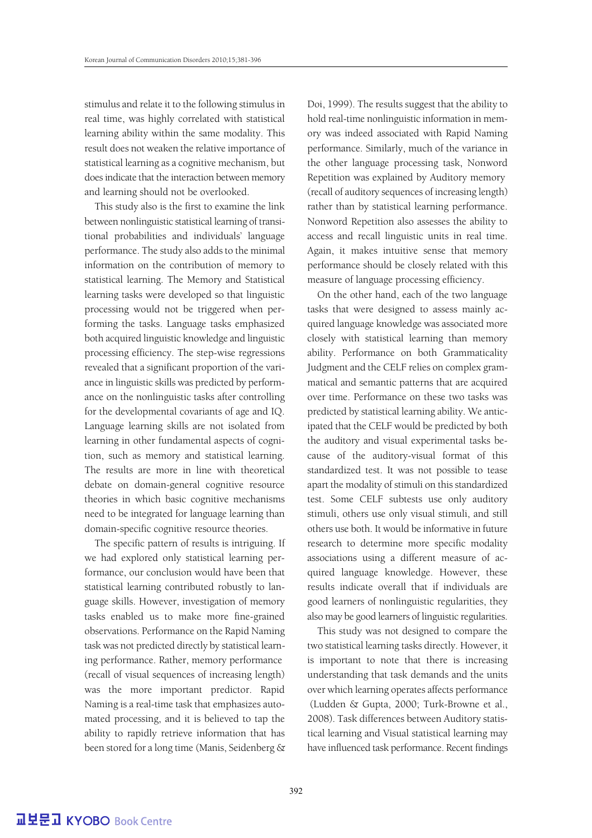stimulus and relate it to the following stimulus in real time, was highly correlated with statistical learning ability within the same modality. This result does not weaken the relative importance of statistical learning as a cognitive mechanism, but does indicate that the interaction between memory and learning should not be overlooked.

This study also is the first to examine the link between nonlinguistic statistical learning of transitional probabilities and individuals' language performance. The study also adds to the minimal information on the contribution of memory to statistical learning. The Memory and Statistical learning tasks were developed so that linguistic processing would not be triggered when performing the tasks. Language tasks emphasized both acquired linguistic knowledge and linguistic processing efficiency. The step-wise regressions revealed that a significant proportion of the variance in linguistic skills was predicted by performance on the nonlinguistic tasks after controlling for the developmental covariants of age and IQ. Language learning skills are not isolated from learning in other fundamental aspects of cognition, such as memory and statistical learning. The results are more in line with theoretical debate on domain-general cognitive resource theories in which basic cognitive mechanisms need to be integrated for language learning than domain-specific cognitive resource theories.

The specific pattern of results is intriguing. If we had explored only statistical learning performance, our conclusion would have been that statistical learning contributed robustly to language skills. However, investigation of memory tasks enabled us to make more fine-grained observations. Performance on the Rapid Naming task was not predicted directly by statistical learning performance. Rather, memory performance (recall of visual sequences of increasing length) was the more important predictor. Rapid Naming is a real-time task that emphasizes automated processing, and it is believed to tap the ability to rapidly retrieve information that has been stored for a long time (Manis, Seidenberg & Doi, 1999). The results suggest that the ability to hold real-time nonlinguistic information in memory was indeed associated with Rapid Naming performance. Similarly, much of the variance in the other language processing task, Nonword Repetition was explained by Auditory memory (recall of auditory sequences of increasing length) rather than by statistical learning performance. Nonword Repetition also assesses the ability to access and recall linguistic units in real time. Again, it makes intuitive sense that memory performance should be closely related with this measure of language processing efficiency.

On the other hand, each of the two language tasks that were designed to assess mainly acquired language knowledge was associated more closely with statistical learning than memory ability. Performance on both Grammaticality Judgment and the CELF relies on complex grammatical and semantic patterns that are acquired over time. Performance on these two tasks was predicted by statistical learning ability. We anticipated that the CELF would be predicted by both the auditory and visual experimental tasks because of the auditory-visual format of this standardized test. It was not possible to tease apart the modality of stimuli on this standardized test. Some CELF subtests use only auditory stimuli, others use only visual stimuli, and still others use both. It would be informative in future research to determine more specific modality associations using a different measure of acquired language knowledge. However, these results indicate overall that if individuals are good learners of nonlinguistic regularities, they also may be good learners of linguistic regularities.

This study was not designed to compare the two statistical learning tasks directly. However, it is important to note that there is increasing understanding that task demands and the units over which learning operates affects performance (Ludden & Gupta, 2000; Turk-Browne et al., 2008). Task differences between Auditory statistical learning and Visual statistical learning may have influenced task performance. Recent findings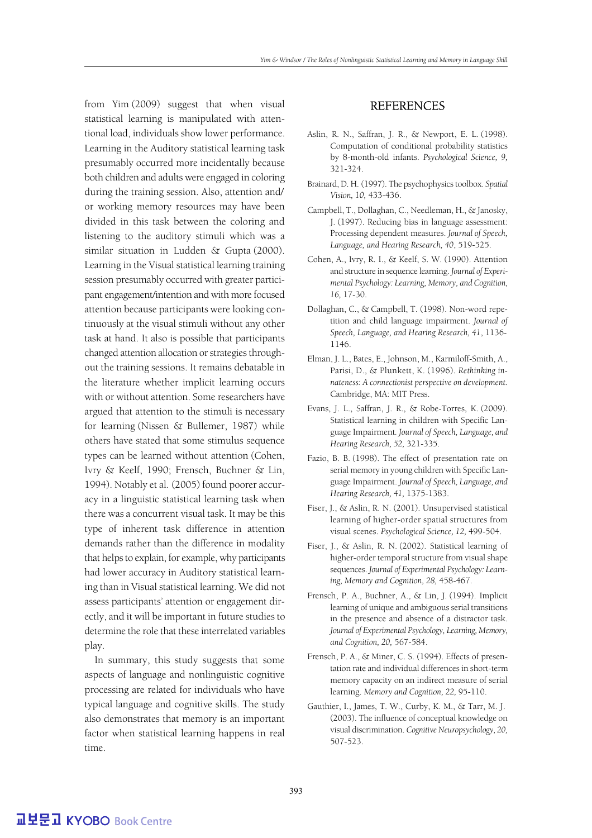from Yim (2009) suggest that when visual statistical learning is manipulated with attentional load, individuals show lower performance. Learning in the Auditory statistical learning task presumably occurred more incidentally because both children and adults were engaged in coloring during the training session. Also, attention and/ or working memory resources may have been divided in this task between the coloring and listening to the auditory stimuli which was a similar situation in Ludden & Gupta (2000). Learning in the Visual statistical learning training session presumably occurred with greater participant engagement/intention and with more focused attention because participants were looking continuously at the visual stimuli without any other task at hand. It also is possible that participants changed attention allocation or strategies throughout the training sessions. It remains debatable in the literature whether implicit learning occurs with or without attention. Some researchers have argued that attention to the stimuli is necessary for learning (Nissen & Bullemer, 1987) while others have stated that some stimulus sequence types can be learned without attention (Cohen, Ivry & Keelf, 1990; Frensch, Buchner & Lin, 1994). Notably et al. (2005) found poorer accuracy in a linguistic statistical learning task when there was a concurrent visual task. It may be this type of inherent task difference in attention demands rather than the difference in modality that helps to explain, for example, why participants had lower accuracy in Auditory statistical learning than in Visual statistical learning. We did not assess participants' attention or engagement directly, and it will be important in future studies to determine the role that these interrelated variables play.

In summary, this study suggests that some aspects of language and nonlinguistic cognitive processing are related for individuals who have typical language and cognitive skills. The study also demonstrates that memory is an important factor when statistical learning happens in real time.

## **REFERENCES**

- Aslin, R. N., Saffran, J. R., & Newport, E. L. (1998). Computation of conditional probability statistics by 8-month-old infants. *Psychological Science, 9,*  321-324.
- Brainard, D. H. (1997). The psychophysics toolbox. *Spatial Vision, 10,* 433-436.
- Campbell, T., Dollaghan, C., Needleman, H., & Janosky, J. (1997). Reducing bias in language assessment: Processing dependent measures. *Journal of Speech, Language, and Hearing Research, 40*, 519-525.
- Cohen, A., Ivry, R. I., & Keelf, S. W. (1990). Attention and structure in sequence learning. *Journal of Experimental Psychology: Learning, Memory, and Cognition, 16,* 17-30.
- Dollaghan, C., & Campbell, T. (1998). Non-word repetition and child language impairment. *Journal of Speech, Language, and Hearing Research, 41*, 1136- 1146.
- Elman, J. L., Bates, E., Johnson, M., Karmiloff-Smith, A., Parisi, D., & Plunkett, K. (1996). *Rethinking innateness: A connectionist perspective on development.*  Cambridge, MA: MIT Press.
- Evans, J. L., Saffran, J. R., & Robe-Torres, K. (2009). Statistical learning in children with Specific Language Impairment*. Journal of Speech, Language, and Hearing Research, 52,* 321-335.
- Fazio, B. B. (1998). The effect of presentation rate on serial memory in young children with Specific Language Impairment. *Journal of Speech, Language, and Hearing Research, 41,* 1375-1383.
- Fiser, J., & Aslin, R. N. (2001). Unsupervised statistical learning of higher-order spatial structures from visual scenes. *Psychological Science, 12,* 499-504.
- Fiser, J., & Aslin, R. N. (2002). Statistical learning of higher-order temporal structure from visual shape sequences. *Journal of Experimental Psychology: Learning, Memory and Cognition, 28,* 458-467.
- Frensch, P. A., Buchner, A., & Lin, J. (1994). Implicit learning of unique and ambiguous serial transitions in the presence and absence of a distractor task. *Journal of Experimental Psychology, Learning, Memory, and Cognition, 20,* 567-584.
- Frensch, P. A., & Miner, C. S. (1994). Effects of presentation rate and individual differences in short-term memory capacity on an indirect measure of serial learning. *Memory and Cognition, 22,* 95-110.
- Gauthier, I., James, T. W., Curby, K. M., & Tarr, M. J. (2003). The influence of conceptual knowledge on visual discrimination. *Cognitive Neuropsychology, 20,*  507-523.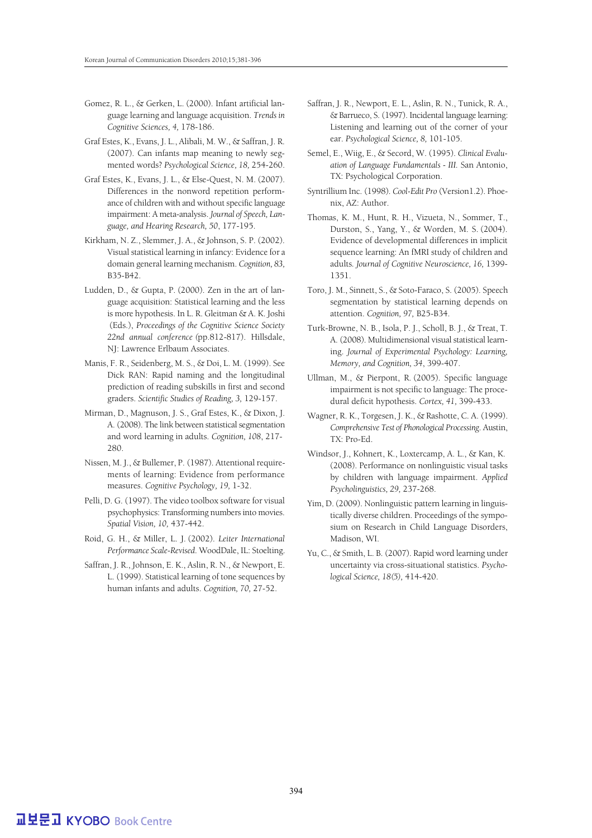- Gomez, R. L., & Gerken, L. (2000). Infant artificial language learning and language acquisition. *Trends in Cognitive Sciences, 4,* 178-186.
- Graf Estes, K., Evans, J. L., Alibali, M. W., & Saffran, J. R. (2007). Can infants map meaning to newly segmented words? *Psychological Science, 18,* 254-260.
- Graf Estes, K., Evans, J. L., & Else-Quest, N. M. (2007). Differences in the nonword repetition performance of children with and without specific language impairment: A meta-analysis. *Journal of Speech, Language, and Hearing Research, 50*, 177-195.
- Kirkham, N. Z., Slemmer, J. A., & Johnson, S. P. (2002). Visual statistical learning in infancy: Evidence for a domain general learning mechanism. *Cognition, 83,*  B35-B42.
- Ludden, D., & Gupta, P. (2000). Zen in the art of language acquisition: Statistical learning and the less is more hypothesis. In L. R. Gleitman & A. K. Joshi (Eds.), *Proceedings of the Cognitive Science Society 22nd annual conference (*pp.812-817). Hillsdale, NJ: Lawrence Erlbaum Associates.
- Manis, F. R., Seidenberg, M. S., & Doi, L. M. (1999). See Dick RAN: Rapid naming and the longitudinal prediction of reading subskills in first and second graders. *Scientific Studies of Reading, 3,* 129-157.
- Mirman, D., Magnuson, J. S., Graf Estes, K., & Dixon, J. A. (2008). The link between statistical segmentation and word learning in adults. *Cognition, 108*, 217- 280.
- Nissen, M. J., & Bullemer, P. (1987). Attentional requirements of learning: Evidence from performance measures. *Cognitive Psychology, 19,* 1-32.
- Pelli, D. G. (1997). The video toolbox software for visual psychophysics: Transforming numbers into movies. *Spatial Vision, 10,* 437-442.
- Roid, G. H., & Miller, L. J. (2002). *Leiter International Performance Scale-Revised*. WoodDale, IL: Stoelting.
- Saffran, J. R., Johnson, E. K., Aslin, R. N., & Newport, E. L. (1999). Statistical learning of tone sequences by human infants and adults. *Cognition, 70,* 27-52.
- Saffran, J. R., Newport, E. L., Aslin, R. N., Tunick, R. A., & Barrueco, S. (1997). Incidental language learning: Listening and learning out of the corner of your ear. *Psychological Science, 8,* 101-105.
- Semel, E., Wiig, E., & Secord, W. (1995). *Clinical Evaluation of Language Fundamentals - III.* San Antonio, TX: Psychological Corporation.
- Syntrillium Inc. (1998). *Cool-Edit Pro* (Version1.2). Phoenix, AZ: Author.
- Thomas, K. M., Hunt, R. H., Vizueta, N., Sommer, T., Durston, S., Yang, Y., & Worden, M. S. (2004). Evidence of developmental differences in implicit sequence learning: An fMRI study of children and adults*. Journal of Cognitive Neuroscience, 16,* 1399- 1351.
- Toro, J. M., Sinnett, S., & Soto-Faraco, S. (2005). Speech segmentation by statistical learning depends on attention. *Cognition, 97,* B25-B34.
- Turk-Browne, N. B., Isola, P. J., Scholl, B. J., & Treat, T. A. (2008). Multidimensional visual statistical learning. *Journal of Experimental Psychology: Learning, Memory, and Cognition, 34*, 399-407.
- Ullman, M., & Pierpont, R. (2005). Specific language impairment is not specific to language: The procedural deficit hypothesis. *Cortex, 41,* 399-433.
- Wagner, R. K., Torgesen, J. K., & Rashotte, C. A. (1999). *Comprehensive Test of Phonological Processing*. Austin, TX: Pro-Ed.
- Windsor, J., Kohnert, K., Loxtercamp, A. L., & Kan, K. (2008). Performance on nonlinguistic visual tasks by children with language impairment. *Applied Psycholinguistics, 29,* 237-268.
- Yim, D. (2009). Nonlinguistic pattern learning in linguistically diverse children. Proceedings of the symposium on Research in Child Language Disorders, Madison, WI.
- Yu, C., & Smith, L. B. (2007). Rapid word learning under uncertainty via cross-situational statistics. *Psychological Science, 18(5),* 414-420.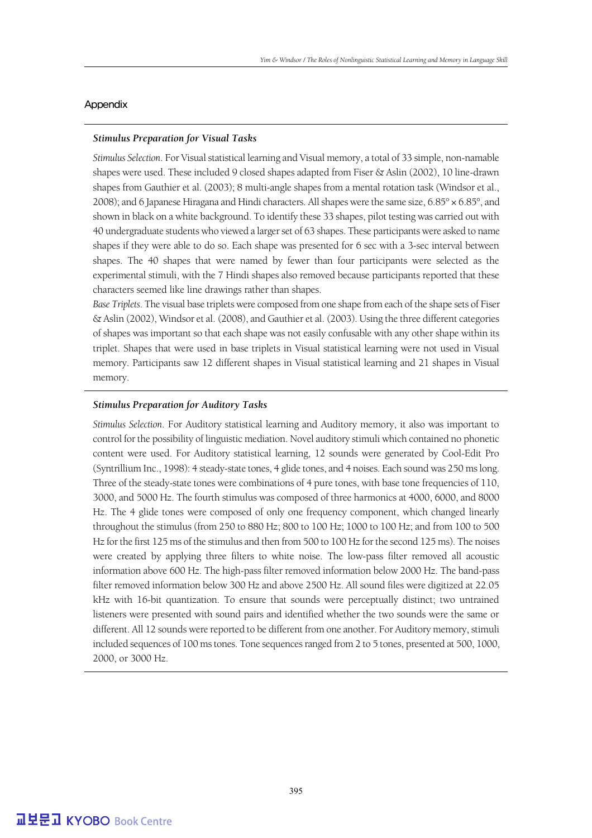#### Appendix

#### *Stimulus Preparation for Visual Tasks*

*Stimulus Selection*. For Visual statistical learning and Visual memory, a total of 33 simple, non-namable shapes were used. These included 9 closed shapes adapted from Fiser & Aslin (2002), 10 line-drawn shapes from Gauthier et al. (2003); 8 multi-angle shapes from a mental rotation task (Windsor et al., 2008); and 6 Japanese Hiragana and Hindi characters. All shapes were the same size,  $6.85^{\circ} \times 6.85^{\circ}$ , and shown in black on a white background. To identify these 33 shapes, pilot testing was carried out with 40 undergraduate students who viewed a larger set of 63 shapes. These participants were asked to name shapes if they were able to do so. Each shape was presented for 6 sec with a 3-sec interval between shapes. The 40 shapes that were named by fewer than four participants were selected as the experimental stimuli, with the 7 Hindi shapes also removed because participants reported that these characters seemed like line drawings rather than shapes.

*Base Triplets*. The visual base triplets were composed from one shape from each of the shape sets of Fiser & Aslin (2002), Windsor et al. (2008), and Gauthier et al. (2003). Using the three different categories of shapes was important so that each shape was not easily confusable with any other shape within its triplet. Shapes that were used in base triplets in Visual statistical learning were not used in Visual memory. Participants saw 12 different shapes in Visual statistical learning and 21 shapes in Visual memory.

#### *Stimulus Preparation for Auditory Tasks*

*Stimulus Selection*. For Auditory statistical learning and Auditory memory, it also was important to control for the possibility of linguistic mediation. Novel auditory stimuli which contained no phonetic content were used. For Auditory statistical learning, 12 sounds were generated by Cool-Edit Pro (Syntrillium Inc., 1998): 4 steady-state tones, 4 glide tones, and 4 noises. Each sound was 250 ms long. Three of the steady-state tones were combinations of 4 pure tones, with base tone frequencies of 110, 3000, and 5000 Hz. The fourth stimulus was composed of three harmonics at 4000, 6000, and 8000 Hz. The 4 glide tones were composed of only one frequency component, which changed linearly throughout the stimulus (from 250 to 880 Hz; 800 to 100 Hz; 1000 to 100 Hz; and from 100 to 500 Hz for the first 125 ms of the stimulus and then from 500 to 100 Hz for the second 125 ms). The noises were created by applying three filters to white noise. The low-pass filter removed all acoustic information above 600 Hz. The high-pass filter removed information below 2000 Hz. The band-pass filter removed information below 300 Hz and above 2500 Hz. All sound files were digitized at 22.05 kHz with 16-bit quantization. To ensure that sounds were perceptually distinct; two untrained listeners were presented with sound pairs and identified whether the two sounds were the same or different. All 12 sounds were reported to be different from one another. For Auditory memory, stimuli included sequences of 100 ms tones. Tone sequences ranged from 2 to 5 tones, presented at 500, 1000, 2000, or 3000 Hz.